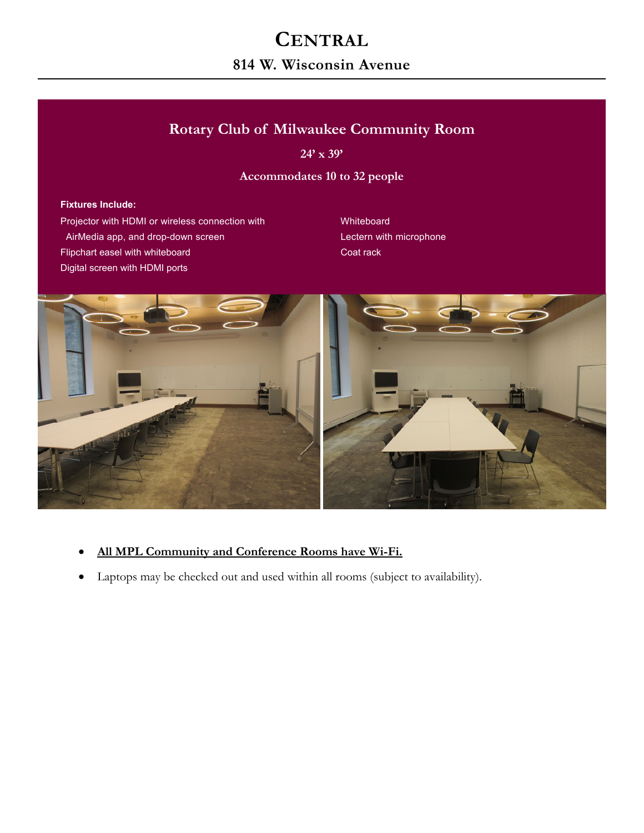# **CENTRAL**

## **814 W. Wisconsin Avenue**

## **Rotary Club of Milwaukee Community Room**

**24' x 39'** 

#### **Accommodates 10 to 32 people**

#### **Fixtures Include:**

Projector with HDMI or wireless connection with Whiteboard AirMedia app, and drop-down screen Lectern with microphone Flipchart easel with whiteboard Coat rack Coat rack Digital screen with HDMI ports



- **All MPL Community and Conference Rooms have Wi-Fi.**
- Laptops may be checked out and used within all rooms (subject to availability).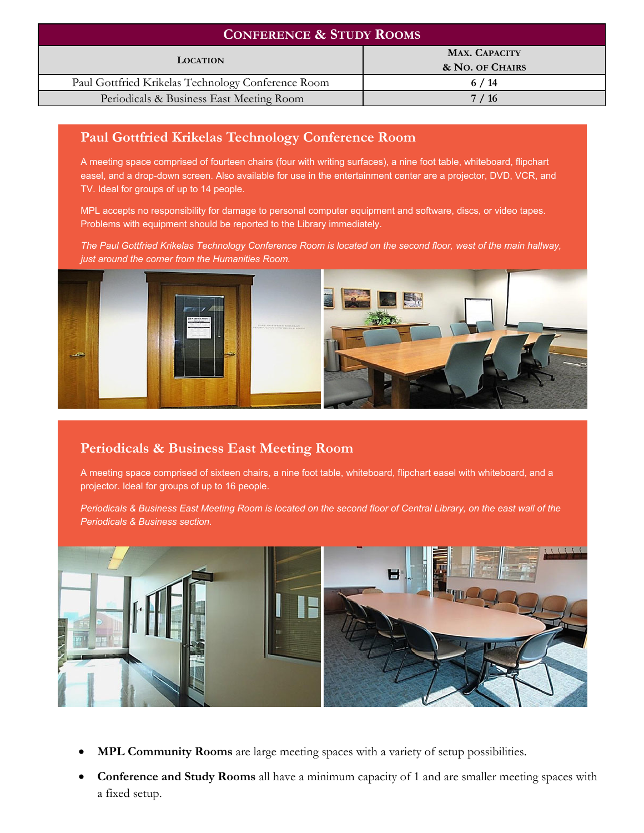| <b>CONFERENCE &amp; STUDY ROOMS</b>                |                                         |
|----------------------------------------------------|-----------------------------------------|
| <b>LOCATION</b>                                    | <b>MAX. CAPACITY</b><br>& NO. OF CHAIRS |
| Paul Gottfried Krikelas Technology Conference Room | 6/14                                    |
| Periodicals & Business East Meeting Room           | 7/16                                    |

### **Paul Gottfried Krikelas Technology Conference Room**

A meeting space comprised of fourteen chairs (four with writing surfaces), a nine foot table, whiteboard, flipchart easel, and a drop-down screen. Also available for use in the entertainment center are a projector, DVD, VCR, and TV. Ideal for groups of up to 14 people.

MPL accepts no responsibility for damage to personal computer equipment and software, discs, or video tapes. Problems with equipment should be reported to the Library immediately.

*The Paul Gottfried Krikelas Technology Conference Room is located on the second floor, west of the main hallway, just around the corner from the Humanities Room.* 



### **Periodicals & Business East Meeting Room**

A meeting space comprised of sixteen chairs, a nine foot table, whiteboard, flipchart easel with whiteboard, and a projector. Ideal for groups of up to 16 people.

*Periodicals & Business East Meeting Room is located on the second floor of Central Library, on the east wall of the Periodicals & Business section.* 



- **MPL Community Rooms** are large meeting spaces with a variety of setup possibilities.
- **Conference and Study Rooms** all have a minimum capacity of 1 and are smaller meeting spaces with a fixed setup.